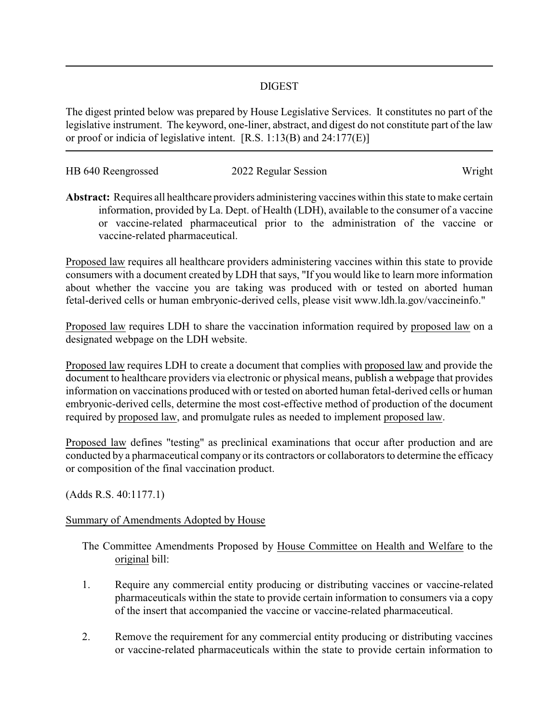## DIGEST

The digest printed below was prepared by House Legislative Services. It constitutes no part of the legislative instrument. The keyword, one-liner, abstract, and digest do not constitute part of the law or proof or indicia of legislative intent. [R.S. 1:13(B) and 24:177(E)]

| HB 640 Reengrossed | 2022 Regular Session | Wright |
|--------------------|----------------------|--------|
|                    |                      |        |

**Abstract:** Requires all healthcare providers administering vaccines within this state to make certain information, provided by La. Dept. of Health (LDH), available to the consumer of a vaccine or vaccine-related pharmaceutical prior to the administration of the vaccine or vaccine-related pharmaceutical.

Proposed law requires all healthcare providers administering vaccines within this state to provide consumers with a document created by LDH that says, "If you would like to learn more information about whether the vaccine you are taking was produced with or tested on aborted human fetal-derived cells or human embryonic-derived cells, please visit www.ldh.la.gov/vaccineinfo."

Proposed law requires LDH to share the vaccination information required by proposed law on a designated webpage on the LDH website.

Proposed law requires LDH to create a document that complies with proposed law and provide the document to healthcare providers via electronic or physical means, publish a webpage that provides information on vaccinations produced with or tested on aborted human fetal-derived cells or human embryonic-derived cells, determine the most cost-effective method of production of the document required by proposed law, and promulgate rules as needed to implement proposed law.

Proposed law defines "testing" as preclinical examinations that occur after production and are conducted by a pharmaceutical company or its contractors or collaborators to determine the efficacy or composition of the final vaccination product.

(Adds R.S. 40:1177.1)

## Summary of Amendments Adopted by House

The Committee Amendments Proposed by House Committee on Health and Welfare to the original bill:

- 1. Require any commercial entity producing or distributing vaccines or vaccine-related pharmaceuticals within the state to provide certain information to consumers via a copy of the insert that accompanied the vaccine or vaccine-related pharmaceutical.
- 2. Remove the requirement for any commercial entity producing or distributing vaccines or vaccine-related pharmaceuticals within the state to provide certain information to